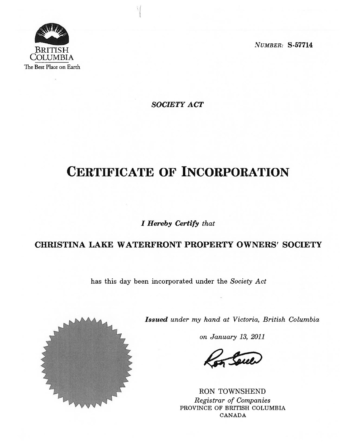

SOCIETY ACT

# CERTIFICATE OF INCORPORATION

I Hereby Certify that

# CHRISTINA LAKE WATERFRONT PROPERTY OWNERS' SOCIETY

has this day been incorporated under the Society Act



Issued under my hand at Victoria, British Columbia

on January 13, 2011

RON TOWNSHEND Registrar of Companies PROVINCE OF BRITISH COLUMBIA CANADA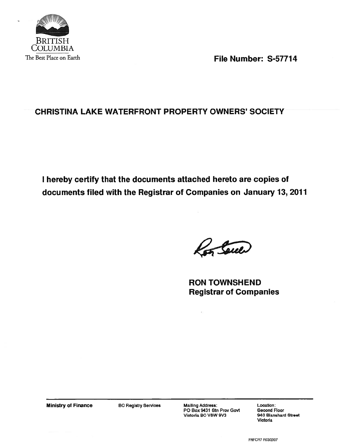

The Best Place on Earth **File Number: S-57714** 

# CHRISTINA LAKE WATERFRONT PROPERTY OWNERS' SOCIETY

I hereby certify that the documents attached hereto are copies of documents tiled with the Registrar of Companies on January 13, 2011

Ron Soul

RON TOWNSHEND Registrar of Companies

Ministry of Finance BC Registry Services Mailing Address: Location: Location:<br>PO Box 9431 Stn Prov Govt Second Floor Victona BC V8W 9V3 <sup>940</sup> Blanshard Street

 $\bar{\psi}$ 

Victoria

FNFCR7 R0312007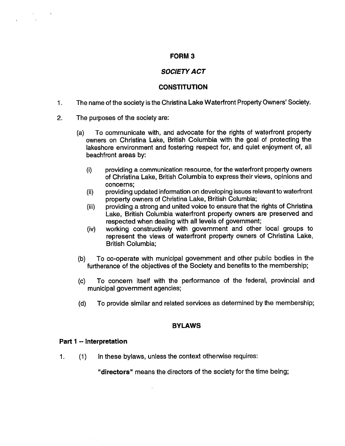### FORM 3

# SOCIETY ACT

# **CONSTITUTION**

- The name of the society is the Christina Lake Waterfront Property Owners' Society.  $1.$
- 2. The purposes of the society are:
	- (a) To communicate with, and advocate for the rights of waterfront property owners on Christina Lake, British Columbia with the goal of protecting the lakeshore environment and fostering respect for, and quiet enjoyment of, all beachfront areas by:
		- (i) providing <sup>a</sup> communication resource, for the waterfront property owners of Christina Lake, British Columbia to express their views, opinions and concerns;
		- (ii) providing updated information on developing issues relevant to waterfront property owners of Christina Lake, British Columbia;
		- (iii) providing <sup>a</sup> strong and united voice to ensure that the rights of Christina Lake, British Columbia waterfront property owners are preserved and respected when dealing with all levels of government;
		- (iv) working constructively with government and other local groups to represent the views of waterfront property owners of Christina Lake, British Columbia;
	- (b) To co-operate with municipal government and other public bodies in the furtherance of the objectives of the Society and benefits to the membership;
	- (c) To concern itself with the performance of the federal, provincial and municipal government agencies;
	- (d) To provide similar and related services as determined by the membership;

# BYLAWS

# Part 1 -- Interpretation

1. (1) In these bylaws, unless the context otherwise requires:

"directors" means the directors of the society for the time being;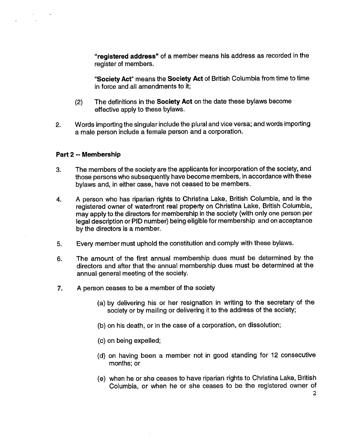"registered address" of <sup>a</sup> member means his address as recorded in the register of members.

"Society Act" means the Society Act of British Columbia from time to time in force and all amendments to it;

- (2) The definitions in the Society Act on the date these bylaws become effective apply to these bylaws.
- 2. Words importing the singular include the plural and vice versa; and words importing <sup>a</sup> male person include <sup>a</sup> female person and <sup>a</sup> corporation.

#### Part 2 -- Membership

- 3. The members of the society are the applicants for incorporation of the society, and those persons who subsequently have become members, in accordance with these bylaws and, in either case, have not ceased to be members.
- 4. A person who has riparian rights to Christina Lake, British Columbia, and is the registered owner of waterfront real property on Christina Lake, British Columbia, may apply to the directors for membership in the society (with only one person per legal description or PID number) being eligible for membership and on acceptance by the directors is <sup>a</sup> member.
- 5. Every member must uphold the constitution and comply with these bylaws.
- 6. The amount of the first annual membership dues must be determined by the directors and after that the annual membership dues must be determined at the annual general meeting of the society.
- 7. A person ceases to be <sup>a</sup> member of the society
	- (a) by delivering his or her resignation in writing to the secretary of the society or by mailing or delivering it to the address of the society;
	- (b) on his death, or in the case of <sup>a</sup> corporation, on dissolution;
	- (c) on being expelled;
	- (d) on having been <sup>a</sup> member not in good standing for 12 consecutive months; or
	- (e) when he or she ceases to have riparian rights to Christina Lake, British Columbia, or when he or she ceases to be the registered owner of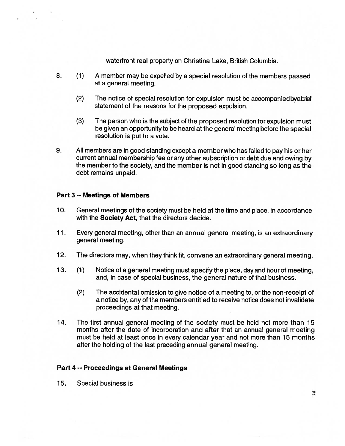waterfront real property on Christina Lake, British Columbia.

- 8. (1) A member may be expelled by <sup>a</sup> special resolution of the members passed at <sup>a</sup> general meeting.
	- (2) The notice of special resolution for expulsion must be accompanied byabrief statement of the reasons for the proposed expulsion.
	- (3) The person who is the subject of the proposed resolution for expulsion must be given an opportunity to be heard at the general meeting before the special resolution is put to <sup>a</sup> vote.
- 9. All members are in good standing except <sup>a</sup> member who has failed to pay his or her current annual membership fee or any other subscription or debt due and owing by the member to the society, and the member is not in good standing so long as the debt remains unpaid.

#### Part 3 -- Meetings of Members

- 10. General meetings of the society must be held at the time and place, in accordance with the **Society Act**, that the directors decide.
- 11. Every general meeting, other than an annual general meeting, is an extraordinary general meeting.
- 12. The directors may, when they think fit, convene an extraordinary general meeting.
- 13. (1) Notice of <sup>a</sup> general meeting must specify the place, day and hour of meeting, and, in case of special business, the general nature of that business.
	- (2) The accidental omission to give notice of <sup>a</sup> meeting to, or the non-receipt of <sup>a</sup> notice by, any of the members entitled to receive notice does not invalidate proceedings at that meeting.
- 14. The first annual general meeting of the society must be held not more than 15 months after the date of incorporation and after that an annual general meeting must be held at least once in every calendar year and not more than 15 months after the holding of the last preceding annual general meeting.

#### Part 4 -- Proceedings at General Meetings

15. Special business is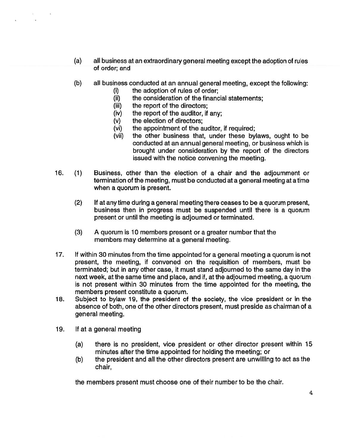- (a) all business at an extraordinary general meeting except the adoption of rules of order; and
- (b) all business conducted at an annual general meeting, except the following:
	- (i) the adoption of rules of order;<br>(ii) the consideration of the finance
	- $(iii)$  the consideration of the financial statements;<br> $(iii)$  the report of the directors;
	- the report of the directors;
	- (iv) the report of the auditor, if any;
	- (v) the election of directors;
	- (vi) the appointment of the auditor, if required;
	- (vii) the other business that, under these bylaws, ought to be conducted at an annual general meeting, or business which is brought under consideration by the report of the directors issued with the notice convening the meeting.
- 16. (1) Business, other than the election of <sup>a</sup> chair and the adjournment or termination of the meeting, must be conducted at <sup>a</sup> general meeting at <sup>a</sup> time when <sup>a</sup> quorum is present.
	- (2) If at any time during <sup>a</sup> general meeting there ceases to be <sup>a</sup> quorum present, business then in progress must be suspended until there is <sup>a</sup> quorum present or until the meeting is adjourned or terminated.
	- (3) <sup>A</sup> quorum is <sup>10</sup> members present or <sup>a</sup> greater number that the members may determine at <sup>a</sup> general meeting.
- 17. If within <sup>30</sup> minutes from the time appointed for <sup>a</sup> general meeting <sup>a</sup> quorum is not present, the meeting, if convened on the requisition of members, must be terminated; but in any other case, it must stand adjourned to the same day in the next week, at the same time and place, and if, at the adjourned meeting, <sup>a</sup> quorum is not present within <sup>30</sup> minutes from the time appointed for the meeting, the members present constitute <sup>a</sup> quorum.
- 18. Subject to bylaw 19, the president of the society, the vice president or in the absence of both, one of the other directors present, must preside as chairman of <sup>a</sup> general meeting.
- 19. If at <sup>a</sup> general meeting
	- (a) there is no president, vice president or other director present within 15 minutes after the time appointed for holding the meeting; or
	- (b) the president and all the other directors present are unwilling to act as the chair,

the members present must choose one of their number to be the chair.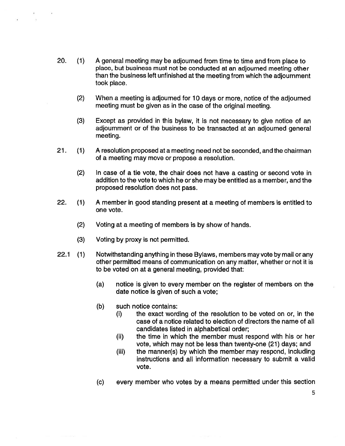- 20. (1) <sup>A</sup> general meeting may be adjourned from time to time and from place to place, but business must not be conducted at an adjourned meeting other than the business left unfinished at the meeting from which the adjournment took place.
	- (2) When <sup>a</sup> meeting is adjourned for 10 days or more, notice of the adjourned meeting must be given as in the case of the original meeting.
	- (3) Except as provided in this bylaw, it is not necessary to give notice of an adjournment or of the business to be transacted at an adjourned general meeting.
- 21. (1) A resolution proposed ata meeting need not be seconded, and the chairman of <sup>a</sup> meeting may move or propose <sup>a</sup> resolution.
	- (2) In case of <sup>a</sup> tie vote, the chair does not have <sup>a</sup> casting or second vote in addition to the vote to which he or she may be entitled as <sup>a</sup> member, and the proposed resolution does not pass.
- 22. (1) A member in good standing present at <sup>a</sup> meeting of members is entitled to one vote.
	- (2) Voting at <sup>a</sup> meeting of members is by show of hands.
	- (3) Voting by proxy is not permitted.
- 22.1 (1) Notwithstanding anything in these Bylaws, members may vote by mail or any other permitted means of communication on any matter, whether or not it is to be voted on at <sup>a</sup> general meeting, provided that:
	- (a) notice is given to every member on the register of members on the date notice is given of such <sup>a</sup> vote;
	- (b) such notice contains:
		- (i) the exact wording of the resolution to be voted on or, in the case of a notice related to election of directors the name of all candidates listed in alphabetical order;
		- (ii) the time in which the member must respond with his or her vote, which may not be less than twenty-one (21) days; and
		- (iii) the manner(s) by which the member may respond, including instructions and all information necessary to submit <sup>a</sup> valid vote.
	- (c) every member who votes by <sup>a</sup> means permitted under this section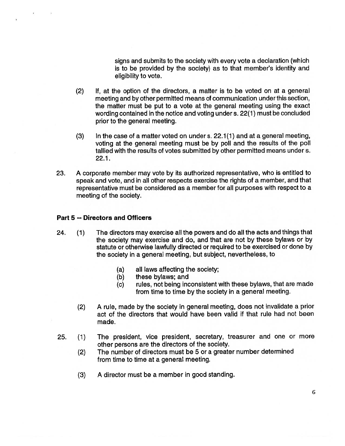signs and submits to the society with every vote <sup>a</sup> declaration (which is to be provided by the society) as to that member's identity and eligibility to vote.

- (2) If, at the option of the directors, <sup>a</sup> matter is to be voted on at <sup>a</sup> general meeting and by other permitted means of communication under this section, the matter must be put to <sup>a</sup> vote at the general meeting using the exact wording contained in the notice and voting under s. 22(1) must be concluded prior to the general meeting.
- (3) In the case of <sup>a</sup> matter voted on under s. 22.1(1) and at <sup>a</sup> general meeting, voting at the general meeting must be by poll and the results of the poll tallied with the results of votes submitted by other permitted means under s. 22.1.
- 23. A corporate member may vote by its authorized representative, who is entitled to speak and vote, and in all other respects exercise the rights of <sup>a</sup> member, and that representative must be considered as <sup>a</sup> member for all purposes with respect to <sup>a</sup> meeting of the society.

#### Part 5 -- Directors and Officers

- 24. (1) The directors may exercise all the powers and do all the acts and things that the society may exercise and do, and that are not by these bylaws or by statute or otherwise lawfully directed or required to be exercised or done by the society in <sup>a</sup> general meeting, but subject, nevertheless, to
	- (a) all laws affecting the society;
	- (b) these bylaws; and
	- (c) rules, not being inconsistent with these bylaws, that are made from time to time by the society in <sup>a</sup> general meeting.
	- (2) A rule, made by the society in general meeting, does not invalidate <sup>a</sup> prior act of the directors that would have been valid if that rule had not been made.
- 25. (1) The president, vice president, secretary, treasurer and one or more other persons are the directors of the society.
	- (2) The number of directors must be 5 or <sup>a</sup> greater number determined from time to time at <sup>a</sup> general meeting.
	- (3) A director must be <sup>a</sup> member in good standing.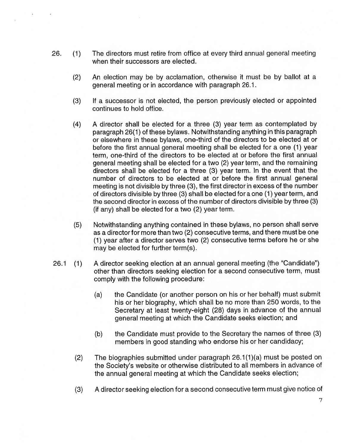- 26. (1) The directors must retire from office at every third annual general meeting when their successors are elected.
	- (2) An election may be by acclamation, otherwise it must be by ballot at <sup>a</sup> general meeting or in accordance with paragraph 26.1.
	- (3) If <sup>a</sup> successor is not elected, the person previously elected or appointed continues to hold office.
	- (4) <sup>A</sup> director shall be elected for <sup>a</sup> three (3) year term as contemplated by paragraph 26(1) of these bylaws. Notwithstanding anything in this paragraph or elsewhere in these bylaws, one-third of the directors to be elected at or before the first annual general meeting shall be elected for <sup>a</sup> one (1) year term, one-third of the directors to be elected at or before the first annual general meeting shall be elected for <sup>a</sup> two (2) year term, and the remaining directors shall be elected for <sup>a</sup> three (3) year term. In the event that the number of directors to be elected at or before the first annual general meeting is not divisible by three (3), the first director in excess of the number of directors divisible by three (3) shall be elected fora one (1) year term, and the second director in excess of the number of directors divisible by three (3) (if any) shall be elected for <sup>a</sup> two (2) year term.
	- (5) Notwithstanding anything contained in these bylaws, no person shall serve as <sup>a</sup> director for more than two (2) consecutive terms, and there must be one (1) year after <sup>a</sup> director serves two (2) consecutive terms before he or she may be elected for further term(s).
- 26.1 (1) A director seeking election at an annual general meeting (the "Candidate") other than directors seeking election for <sup>a</sup> second consecutive term, must comply with the following procedure:
	- (a) the Candidate (or another person on his or her behalf) must submit his or her biography, which shall be no more than 250 words, to the Secretary at least twenty-eight (28) days in advance of the annual general meeting at which the Candidate seeks election; and
	- (b) the Candidate must provide to the Secretary the names of three (3) members in good standing who endorse his or her candidacy;
	- (2) The biographies submitted under paragraph 26.1(1)(a) must be posted on the Society's website or otherwise distributed to all members in advance of the annual general meeting at which the Candidate seeks election;
	- (3) <sup>A</sup> director seeking election for <sup>a</sup> second consecutive term must give notice of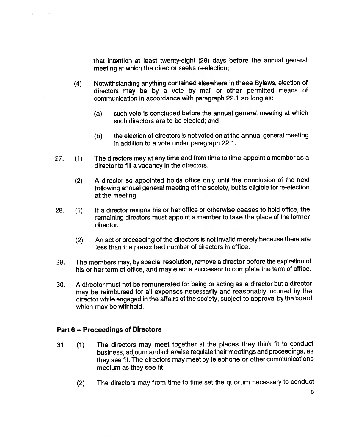that intention at least twenty-eight (28) days before the annual general meeting at which the director seeks re-election;

- (4) Notwithstanding anything contained elsewhere in these Bylaws, election of directors may be by <sup>a</sup> vote by mail or other permitted means of communication in accordance with paragraph 22.1 so long as:
	- (a) such vote is concluded before the annual general meeting at which such directors are to be elected; and
	- (b) the election of directors is not voted on at the annual general meeting in addition to <sup>a</sup> vote under paragraph 22.1.
- 27. (1) The directors may at any time and from time to time appoint <sup>a</sup> member as <sup>a</sup> director to fill <sup>a</sup> vacancy in the directors.
	- (2) A director so appointed holds office only until the conclusion of the next following annual general meeting of the society, but is eligible for re-election at the meeting.
- 28. (1) If <sup>a</sup> director resigns his or her office or otherwise ceases to hold office, the remaining directors must appoint <sup>a</sup> member to take the place of the former director.
	- (2) An act or proceeding of the directors is not invalid merely because there are less than the prescribed number of directors in office.
- 29. The members may, by special resolution, remove <sup>a</sup> director before the expiration of his or her term of office, and may elect <sup>a</sup> successor to complete the term of office.
- 30. A director must not be remunerated for being or acting as <sup>a</sup> director but <sup>a</sup> director may be reimbursed for all expenses necessarily and reasonably incurred by the director while engaged in the affairs of the society, subject to approval by the board which may be withheld.

# Part 6 -- Proceedings of Directors

- 31. (1) The directors may meet together at the places they think fit to conduct business, adjourn and otherwise regulate their meetings and proceedings, as they see fit. The directors may meet by telephone or other communications medium as they see fit.
	- (2) The directors may from time to time set the quorum necessary to conduct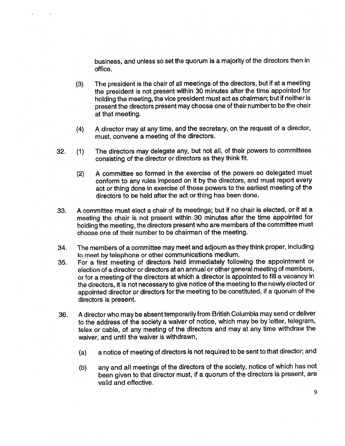business, and unless so set the quorum is <sup>a</sup> majority of the directors then in office.

- (3) The president is the chair of all meetings of the directors, but if at <sup>a</sup> meeting the president is not present within 30 minutes after the time appointed for holding the meeting, the vice president must act as chairman; but if neither is present the directors present may choose one of their numberto be the chair at that meeting.
- (4) A director may at any time, and the secretary, on the request of <sup>a</sup> director, must, convene <sup>a</sup> meeting of the directors.
- 32. (1) The directors may delegate any, but not all, of their powers to committees consisting of the director or directors as they think fit.
	- (2) A committee so formed in the exercise of the powers so delegated must conform to any rules imposed on it by the directors, and must report every act or thing done in exercise of those powers to the earliest meeting of the directors to be held after the act or thing has been done.
- 33. A committee must elect <sup>a</sup> chair of its meetings; but if no chair is elected, or if at <sup>a</sup> meeting the chair is not present within 30 minutes after the time appointed for holding the meeting, the directors present who are members of the committee must choose one of their number to be chairman of the meeting.
- 34. The members of <sup>a</sup> committee may meet and adjourn as they think proper, including to meet by telephone or other communications medium.
- 35. For <sup>a</sup> first meeting of directors held immediately following the appointment or election of <sup>a</sup> director or directors at an annual or other general meeting of members, or for <sup>a</sup> meeting of the directors at which <sup>a</sup> director is appointed to fill <sup>a</sup> vacancy in the directors, it is not necessary to give notice of the meeting to the newly elected or appointed director or directors for the meeting to be constituted, if <sup>a</sup> quorum of the directors is present.
- 36. <sup>A</sup> director who may be absent temporarily from British Columbia may send or deliver to the address of the society <sup>a</sup> waiver of notice, which may be by letter, telegram, telex or cable, of any meeting of the directors and may at any time withdraw the waiver, and until the waiver is withdrawn,
	- (a) <sup>a</sup> notice of meeting of directors is not required to be sent to that director; and
	- (b) any and all meetings of the directors of the society, notice of which has not been given to that director must, if <sup>a</sup> quorum of the directors is present, are valid and effective.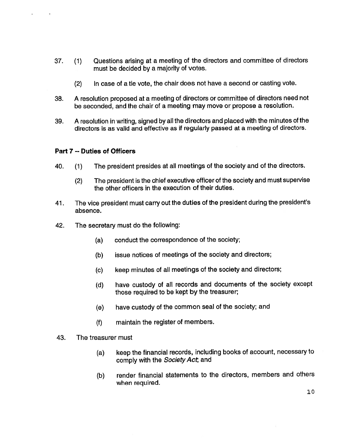- 37. (1) Questions arising at <sup>a</sup> meeting of the directors and committee of directors must be decided by <sup>a</sup> majority of votes.
	- (2) In case of <sup>a</sup> tie vote, the chair does not have <sup>a</sup> second or casting vote.
- 38. A resolution proposed at <sup>a</sup> meeting of directors or committee of directors need not be seconded, and the chair of <sup>a</sup> meeting may move or propose <sup>a</sup> resolution.
- 39. A resolution in writing, signed by all the directors and placed with the minutes of the directors is as valid and effective as if regularly passed at <sup>a</sup> meeting of directors.

#### Part 7 -- Duties of Officers

- 40. (1) The president presides at all meetings of the society and of the directors.
	- (2) The president is the chief executive officer of the society and must supervise the other officers in the execution of their duties.
- 41. The vice president must carry out the duties of the president during the president's absence.
- 42. The secretary must do the following:
	- (a) conduct the correspondence of the society;
	- (b) issue notices of meetings of the society and directors;
	- (c) keep minutes of all meetings of the society and directors;
	- (d) have custody of all records and documents of the society except those required to be kept by the treasurer;
	- (e) have custody of the common seal of the society; and
	- (f) maintain the register of members.
- 43. The treasurer must
	- (a) keep the financial records, including books of account, necessary to comply with the Society Act, and
	- (b) render financial statements to the directors, members and others when required.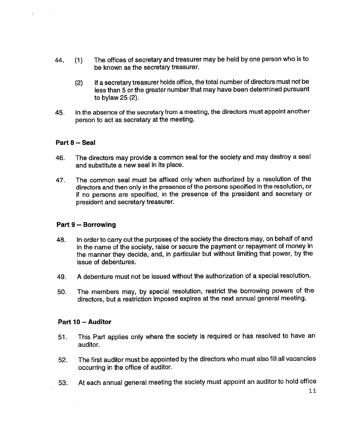- 44. (1) The offices of secretary and treasurer may be held by one person who is to be known as the secretary treasurer.
	- (2) If <sup>a</sup> secretary treasurer holds office, the total number of directors must not be less than 5 or the greater number that may have been determined pursuant to bylaw 25 (2).
- 45. In the absence of the secretary from <sup>a</sup> meeting, the directors must appoint another person to act as secretary at the meeting.

# Part 8 -- Seal

- 46. The directors may provide <sup>a</sup> common seal for the society and may destroy <sup>a</sup> seal and substitute <sup>a</sup> new seal in its place.
- 47. The common seal must be affixed only when authorized by <sup>a</sup> resolution of the directors and then only in the presence of the persons specified in the resolution, or if no persons are specified, in the presence of the president and secretary or president and secretary treasurer.

# Part 9-- Borrowing

- 48. In order to carry out the purposes of the society the directors may, on behalf of and in the name of the society, raise or secure the payment or repayment of money in the manner they decide, and, in particular but without limiting that power, by the issue of debentures.
- 49. A debenture must not be issued without the authorization of <sup>a</sup> special resolution.
- 50. The members may, by special resolution, restrict the borrowing powers of the directors, but <sup>a</sup> restriction imposed expires at the next annual general meeting.

#### Part 10--Auditor

- 51. This Part applies only where the society is required or has resolved to have an auditor.
- 52. The first auditor must be appointed by the directors who must also fill all vacancies occurring in the office of auditor.
- 53. At each annual general meeting the society must appoint an auditor to hold office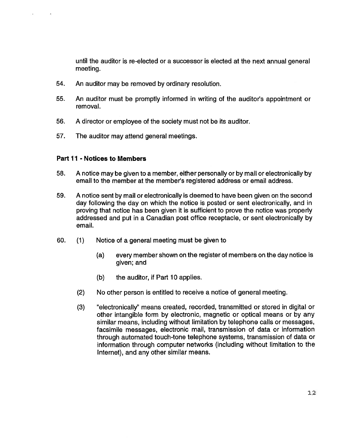until the auditor is re-elected or <sup>a</sup> successor is elected at the next annual general meeting.

- 54. An auditor may be removed by ordinary resolution.
- 55. An auditor must be promptly informed in writing of the auditor's appointment or removal.
- 56. A director or employee of the society must not be its auditor.
- 57. The auditor may attend general meetings.

#### Part 11 - Notices to Members

- 58. A notice may be given to <sup>a</sup> member, either personally or by mail or electronically by email to the member at the member's registered address or email address.
- 59. A notice sent by mail or electronically is deemed to have been given on the second day following the day on which the notice is posted or sent electronically, and in proving that notice has been given it is sufficient to prove the notice was properly addressed and put in <sup>a</sup> Canadian post office receptacle, or sent electronically by email.
- 60. (1) Notice of <sup>a</sup> general meeting must be given to
	- (a) every member shown on the register of members on the day notice is given; and
	- (b) the auditor, if Part 10 applies.
	- (2) No other person is entitled to receive <sup>a</sup> notice of general meeting.
	- (3) "electronically" means created, recorded, transmitted or stored in digital or other intangible form by electronic, magnetic or optical means or by any similar means, including without limitation by telephone calls or messages, facsimile messages, electronic mail, transmission of data or information through automated touch-tone telephone systems, transmission of data or information through computer networks (including without limitation to the Internet), and any other similar means.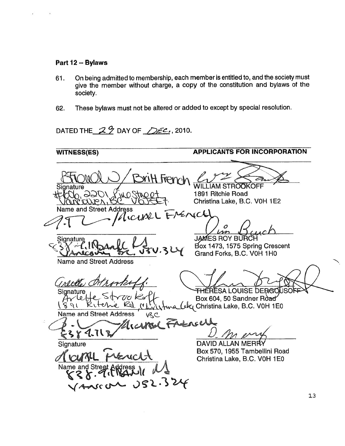#### Part 12 -- Bylaws

- 61. On being admitted to membership, each member is entitled to, and the society must give the member without charge, <sup>a</sup> copy of the constitution and bylaws of the society.
- 62. These bylaws must not be altered or added to except by special resolution.

DATED THE  $29$  DAY OF  $\sqrt{20}$ , 2010.

WITNESS(ES) APPLICANTS FOR INCORPORATION <u>Sritt Fremal</u> **STROOKOFF** Sianature 1891 Ritchie Road  $\infty$ Vanceur, Christina Lake, B.C. V0H 1E2 and Street Address<br>
7 MICUXXL ERENICE  $\boldsymbol{\beta}$  $\boldsymbol{\gamma}$ A '-<del>.</del> JAMES ROY BURC **Signature** Box 1473, 1575 Spring Crescent A Grand Forks, B.C. VOH 1HO Name and Street Address  $\mathcal{L}$ mett. <del>TH</del>ERESA LOUISE DERGC Signature<br>ارعا کہا Box 604, 50 Sandner Road ~~4~Christina Lake, B.C. VOH 1 E0  $\theta$  $R$ rtche Name and Street Address \ \R\chard Francell  $\mathcal{A}$  . Trans 4.71 **Signature** DAVID ALLAN MERF Box 570, 1955 Tambellini Road L Christina Lake, B.C. V0H 1E0 Name and Stre  $J52.324$ 13